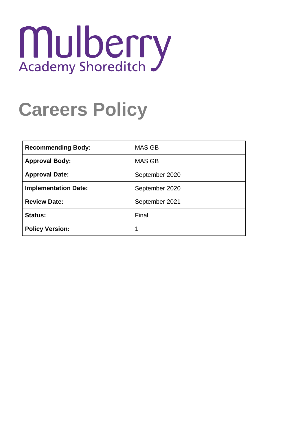# Mulberry

# **Careers Policy**

| <b>Recommending Body:</b>   | <b>MAS GB</b>  |
|-----------------------------|----------------|
| <b>Approval Body:</b>       | <b>MAS GB</b>  |
| <b>Approval Date:</b>       | September 2020 |
| <b>Implementation Date:</b> | September 2020 |
| <b>Review Date:</b>         | September 2021 |
| <b>Status:</b>              | Final          |
| <b>Policy Version:</b>      | 1              |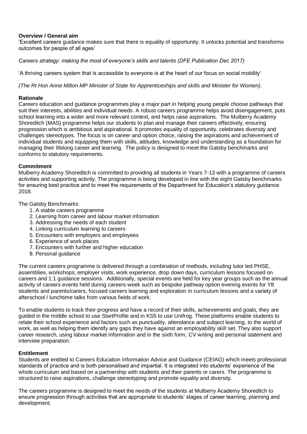# **Overview / General aim**

'Excellent careers guidance makes sure that there is equality of opportunity. It unlocks potential and transforms outcomes for people of all ages'

*Careers strategy: making the most of everyone's skills and talents (DFE Publication Dec 2017)*

'A thriving careers system that is accessible to everyone is at the heart of our focus on social mobility'

*(The Rt Hon Anne Milton MP Minister of State for Apprenticeships and skills and Minister for Women).*

# **Rationale**

Careers education and guidance programmes play a major part in helping young people choose pathways that suit their interests, abilities and individual needs. A robust careers programme helps avoid disengagement, puts school learning into a wider and more relevant context, and helps raise aspirations. The Mulberry Academy Shoreditch (MAS) programme helps our students to plan and manage their careers effectively, ensuring progression which is ambitious and aspirational. It promotes equality of opportunity, celebrates diversity and challenges stereotypes. The focus is on career and option choice, raising the aspirations and achievement of individual students and equipping them with skills, attitudes, knowledge and understanding as a foundation for managing their lifelong career and learning. The policy is designed to meet the Gatsby benchmarks and conforms to statutory requirements.

# **Commitment**

Mulberry Academy Shoreditch is committed to providing all students in Years 7-13 with a programme of careers activities and supporting activity. The programme is being developed in line with the eight Gatsby benchmarks for ensuring best practice and to meet the requirements of the Department for Education's statutory guidance 2018.

The Gatsby Benchmarks:

- 1. A stable careers programme
- 2. Learning from career and labour market information
- 3. Addressing the needs of each student
- 4. Linking curriculum learning to careers
- 5. Encounters with employers and employees
- 6. Experience of work places
- 7. Encounters with further and higher education
- 8. Personal guidance

The current careers programme is delivered through a combination of methods, including tutor led PHSE, assemblies, workshops, employer visits, work experience, drop down days, curriculum lessons focused on careers and 1:1 guidance sessions. Additionally, special events are held for key year groups such as the annual activity of careers events held during careers week such as bespoke pathway option evening events for Y8 students and parents/carers, focused careers learning and exploration in curriculum lessons and a variety of afterschool / lunchtime talks from various fields of work.

To enable students to track their progress and have a record of their skills, achievements and goals, they are guided in the middle school to use StartProfile and in KS5 to use Unifrog. These platforms enable students to relate their school experience and factors such as punctuality, attendance and subject learning, to the world of work, as well as helping them identify any gaps they have against an employability skill set. They also support career research, using labour market information and in the sixth form, CV writing and personal statement and interview preparation.

# **Entitlement**

Students are entitled to Careers Education Information Advice and Guidance (CEIAG) which meets professional standards of practice and is both personalised and impartial. It is integrated into students' experience of the whole curriculum and based on a partnership with students and their parents or carers. The programme is structured to raise aspirations, challenge stereotyping and promote equality and diversity.

The careers programme is designed to meet the needs of the students at Mulberry Academy Shoreditch to ensure progression through activities that are appropriate to students' stages of career learning, planning and development.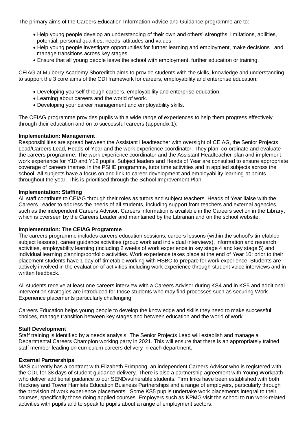The primary aims of the Careers Education Information Advice and Guidance programme are to:

- Help young people develop an understanding of their own and others' strengths, limitations, abilities, potential, personal qualities, needs, attitudes and values
- Help young people investigate opportunities for further learning and employment, make decisions and manage transitions across key stages
- Ensure that all young people leave the school with employment, further education or training.

CEIAG at Mulberry Academy Shoreditch aims to provide students with the skills, knowledge and understanding to support the 3 core aims of the CDI framework for careers, employability and enterprise education:

- Developing yourself through careers, employability and enterprise education.
- Learning about careers and the world of work.
- Developing your career management and employability skills.

The CEIAG programme provides pupils with a wide range of experiences to help them progress effectively through their education and on to successful careers (appendix 1).

# **Implementation: Management**

Responsibilities are spread between the Assistant Headteacher with oversight of CEIAG, the Senior Projects Lead/Careers Lead, Heads of Year and the work experience coordinator. They plan, co-ordinate and evaluate the careers programme. The work experience coordinator and the Assistant Headteacher plan and implement work experience for Y10 and Y12 pupils. Subject leaders and Heads of Year are consulted to ensure appropriate coverage of careers themes in the PSHE programme, tutor time activities and in applied subjects across the school. All subjects have a focus on and link to career development and employability learning at points throughout the year. This is prioritised through the School Improvement Plan.

#### **Implementation: Staffing**

All staff contribute to CEIAG through their roles as tutors and subject teachers. Heads of Year liaise with the Careers Leader to address the needs of all students, including support from teachers and external agencies, such as the independent Careers Advisor. Careers information is available in the Careers section in the Library, which is overseen by the Careers Leader and maintained by the Librarian and on the school website.

# **Implementation: The CEIAG Programme**

The careers programme includes careers education sessions, careers lessons (within the school's timetabled subject lessons), career guidance activities (group work and individual interviews), information and research activities, employability learning (including 2 weeks of work experience in key stage 4 and key stage 5) and individual learning planning/portfolio activities. Work experience takes place at the end of Year 10: prior to their placement students have 1 day off timetable working with HSBC to prepare for work experience. Students are actively involved in the evaluation of activities including work experience through student voice interviews and in written feedback.

All students receive at least one careers interview with a Careers Advisor during KS4 and in KS5 and additional intervention strategies are introduced for those students who may find processes such as securing Work Experience placements particularly challenging.

Careers Education helps young people to develop the knowledge and skills they need to make successful choices, manage transition between key stages and between education and the world of work.

# **Staff Development**

Staff training is identified by a needs analysis. The Senior Projects Lead will establish and manage a Departmental Careers Champion working party in 2021. This will ensure that there is an appropriately trained staff member leading on curriculum careers delivery in each department.

# **External Partnerships**

MAS currently has a contract with Elizabeth Frimpong, an independent Careers Advisor who is registered with the CDI, for 38 days of student guidance delivery. There is also a partnership agreement with Young Workpath who deliver additional quidance to our SEND/vulnerable students. Firm links have been established with both Hackney and Tower Hamlets Education Business Partnerships and a range of employers, particularly through the provision of work experience placements. Some KS5 pupils undertake work placements integral to their courses, specifically those doing applied courses. Employers such as KPMG visit the school to run work-related activities with pupils and to speak to pupils about a range of employment sectors.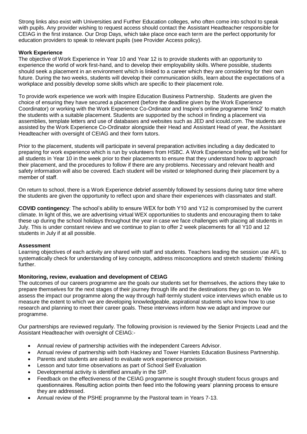Strong links also exist with Universities and Further Education colleges, who often come into school to speak with pupils. Any provider wishing to request access should contact the Assistant Headteacher responsible for CEIAG in the first instance. Our Drop Days, which take place once each term are the perfect opportunity for education providers to speak to relevant pupils (see Provider Access policy).

# **Work Experience**

The objective of Work Experience in Year 10 and Year 12 is to provide students with an opportunity to experience the world of work first-hand, and to develop their employability skills. Where possible, students should seek a placement in an environment which is linked to a career which they are considering for their own future. During the two weeks, students will develop their communication skills, learn about the expectations of a workplace and possibly develop some skills which are specific to their placement role.

To provide work experience we work with Inspire Education Business Partnership. Students are given the choice of ensuring they have secured a placement (before the deadline given by the Work Experience Coordinator) or working with the Work Experience Co-Ordinator and Inspire's online programme 'link2' to match the students with a suitable placement. Students are supported by the school in finding a placement via assemblies, template letters and use of databases and websites such as JED and icould.com. The students are assisted by the Work Experience Co-Ordinator alongside their Head and Assistant Head of year, the Assistant Headteacher with oversight of CEIAG and their form tutors.

Prior to the placement, students will participate in several preparation activities including a day dedicated to preparing for work experience which is run by volunteers from HSBC. A Work Experience briefing will be held for all students in Year 10 in the week prior to their placements to ensure that they understand how to approach their placement, and the procedures to follow if there are any problems. Necessary and relevant health and safety information will also be covered. Each student will be visited or telephoned during their placement by a member of staff.

On return to school, there is a Work Experience debrief assembly followed by sessions during tutor time where the students are given the opportunity to reflect upon and share their experiences with classmates and staff.

**COVID contingency**: The school's ability to ensure WEX for both Y10 and Y12 is compromised by the current climate. In light of this, we are advertising virtual WEX opportunities to students and encouraging them to take these up during the school holidays throughout the year in case we face challenges with placing all students in July. This is under constant review and we continue to plan to offer 2 week placements for all Y10 and 12 students in July if at all possible.

# **Assessment**

Learning objectives of each activity are shared with staff and students. Teachers leading the session use AFL to systematically check for understanding of key concepts, address misconceptions and stretch students' thinking further.

# **Monitoring, review, evaluation and development of CEIAG**

The outcomes of our careers programme are the goals our students set for themselves, the actions they take to prepare themselves for the next stages of their journey through life and the destinations they go on to. We assess the impact our programme along the way through half-termly student voice interviews which enable us to measure the extent to which we are developing knowledgeable, aspirational students who know how to use research and planning to meet their career goals. These interviews inform how we adapt and improve our programme.

Our partnerships are reviewed regularly. The following provision is reviewed by the Senior Projects Lead and the Assistant Headteacher with oversight of CEIAG:-

- Annual review of partnership activities with the independent Careers Advisor.
- Annual review of partnership with both Hackney and Tower Hamlets Education Business Partnership.
- Parents and students are asked to evaluate work experience provision.
- Lesson and tutor time observations as part of School Self Evaluation
- Developmental activity is identified annually in the SIP.
- Feedback on the effectiveness of the CEIAG programme is sought through student focus groups and questionnaires. Resulting action points then feed into the following years' planning process to ensure they are addressed.
- Annual review of the PSHE programme by the Pastoral team in Years 7-13.